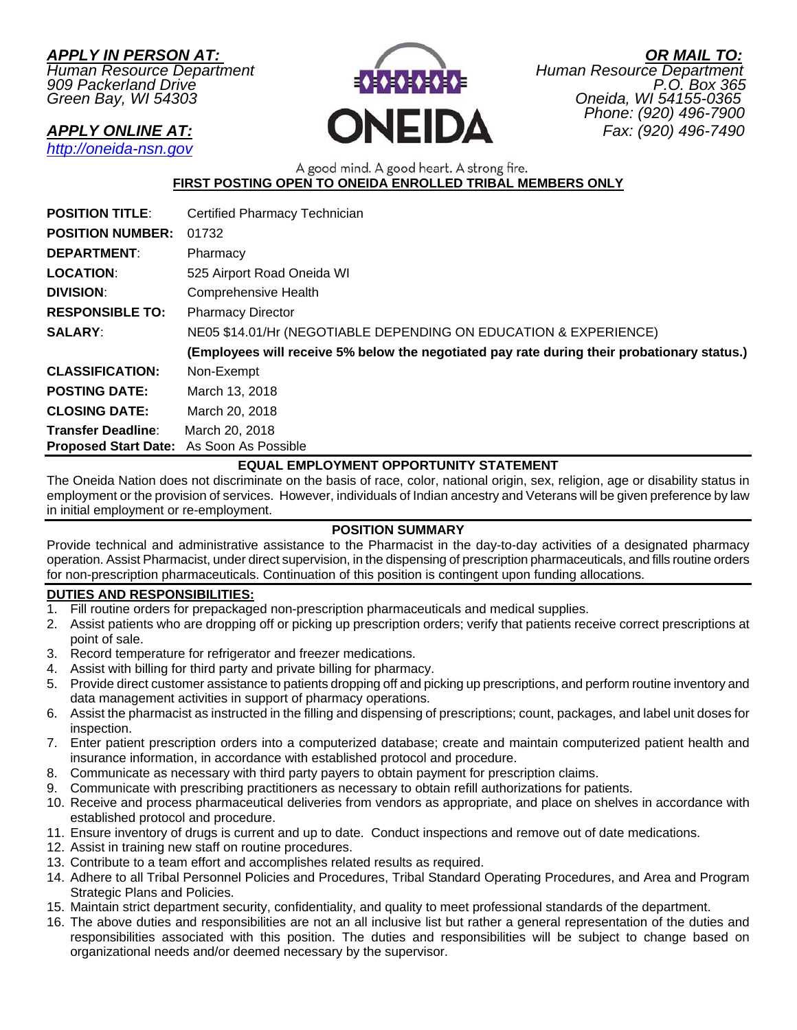*Green Bay, WI 54303* 



*APPLY IN PERSON AT: OR MAIL TO: Human Resource Department Human Resource Department 909 Packerland Drive P.O. Box 365 Phone: (920) 496-7900 APPLY ONLINE AT:* **CONEIDA** *Phone: (920) 496-7900 Fax: (920) 496-7900* 

*http://oneida-nsn.gov* 

A good mind. A good heart. A strong fire. **FIRST POSTING OPEN TO ONEIDA ENROLLED TRIBAL MEMBERS ONLY** 

| <b>POSITION TITLE:</b>                   | Certified Pharmacy Technician                                                               |
|------------------------------------------|---------------------------------------------------------------------------------------------|
| <b>POSITION NUMBER:</b>                  | 01732                                                                                       |
| <b>DEPARTMENT:</b>                       | Pharmacy                                                                                    |
| <b>LOCATION:</b>                         | 525 Airport Road Oneida WI                                                                  |
| <b>DIVISION:</b>                         | <b>Comprehensive Health</b>                                                                 |
| <b>RESPONSIBLE TO:</b>                   | <b>Pharmacy Director</b>                                                                    |
| <b>SALARY:</b>                           | NE05 \$14.01/Hr (NEGOTIABLE DEPENDING ON EDUCATION & EXPERIENCE)                            |
|                                          | (Employees will receive 5% below the negotiated pay rate during their probationary status.) |
| <b>CLASSIFICATION:</b>                   | Non-Exempt                                                                                  |
| <b>POSTING DATE:</b>                     | March 13, 2018                                                                              |
| <b>CLOSING DATE:</b>                     | March 20, 2018                                                                              |
| <b>Transfer Deadline:</b>                | March 20, 2018                                                                              |
| Proposed Start Date: As Soon As Possible |                                                                                             |

# **EQUAL EMPLOYMENT OPPORTUNITY STATEMENT**

The Oneida Nation does not discriminate on the basis of race, color, national origin, sex, religion, age or disability status in employment or the provision of services. However, individuals of Indian ancestry and Veterans will be given preference by law in initial employment or re-employment.

## **POSITION SUMMARY**

Provide technical and administrative assistance to the Pharmacist in the day-to-day activities of a designated pharmacy operation. Assist Pharmacist, under direct supervision, in the dispensing of prescription pharmaceuticals, and fills routine orders for non-prescription pharmaceuticals. Continuation of this position is contingent upon funding allocations.

## **DUTIES AND RESPONSIBILITIES:**

- 1. Fill routine orders for prepackaged non-prescription pharmaceuticals and medical supplies.
- 2. Assist patients who are dropping off or picking up prescription orders; verify that patients receive correct prescriptions at point of sale.
- 3. Record temperature for refrigerator and freezer medications.
- 4. Assist with billing for third party and private billing for pharmacy.
- 5. Provide direct customer assistance to patients dropping off and picking up prescriptions, and perform routine inventory and data management activities in support of pharmacy operations.
- 6. Assist the pharmacist as instructed in the filling and dispensing of prescriptions; count, packages, and label unit doses for inspection.
- 7. Enter patient prescription orders into a computerized database; create and maintain computerized patient health and insurance information, in accordance with established protocol and procedure.
- 8. Communicate as necessary with third party payers to obtain payment for prescription claims.
- 9. Communicate with prescribing practitioners as necessary to obtain refill authorizations for patients.
- 10. Receive and process pharmaceutical deliveries from vendors as appropriate, and place on shelves in accordance with established protocol and procedure.
- 11. Ensure inventory of drugs is current and up to date. Conduct inspections and remove out of date medications.
- 12. Assist in training new staff on routine procedures.
- 13. Contribute to a team effort and accomplishes related results as required.
- 14. Adhere to all Tribal Personnel Policies and Procedures, Tribal Standard Operating Procedures, and Area and Program Strategic Plans and Policies.
- 15. Maintain strict department security, confidentiality, and quality to meet professional standards of the department.
- 16. The above duties and responsibilities are not an all inclusive list but rather a general representation of the duties and responsibilities associated with this position. The duties and responsibilities will be subject to change based on organizational needs and/or deemed necessary by the supervisor.